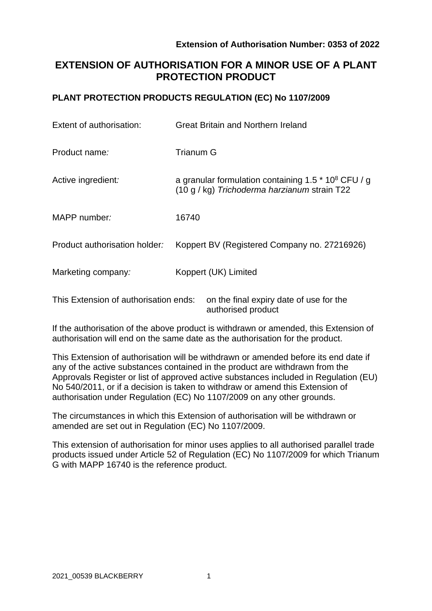# **EXTENSION OF AUTHORISATION FOR A MINOR USE OF A PLANT PROTECTION PRODUCT**

## **PLANT PROTECTION PRODUCTS REGULATION (EC) No 1107/2009**

| Extent of authorisation:              | <b>Great Britain and Northern Ireland</b>                                                                         |
|---------------------------------------|-------------------------------------------------------------------------------------------------------------------|
| Product name:                         | <b>Trianum G</b>                                                                                                  |
| Active ingredient:                    | a granular formulation containing 1.5 $*$ 10 <sup>8</sup> CFU / g<br>(10 g / kg) Trichoderma harzianum strain T22 |
| MAPP number:                          | 16740                                                                                                             |
| Product authorisation holder:         | Koppert BV (Registered Company no. 27216926)                                                                      |
| Marketing company:                    | Koppert (UK) Limited                                                                                              |
| This Extension of authorisation ends: | on the final expiry date of use for the                                                                           |

If the authorisation of the above product is withdrawn or amended, this Extension of authorisation will end on the same date as the authorisation for the product.

authorised product

This Extension of authorisation will be withdrawn or amended before its end date if any of the active substances contained in the product are withdrawn from the Approvals Register or list of approved active substances included in Regulation (EU) No 540/2011, or if a decision is taken to withdraw or amend this Extension of authorisation under Regulation (EC) No 1107/2009 on any other grounds.

The circumstances in which this Extension of authorisation will be withdrawn or amended are set out in Regulation (EC) No 1107/2009.

This extension of authorisation for minor uses applies to all authorised parallel trade products issued under Article 52 of Regulation (EC) No 1107/2009 for which Trianum G with MAPP 16740 is the reference product.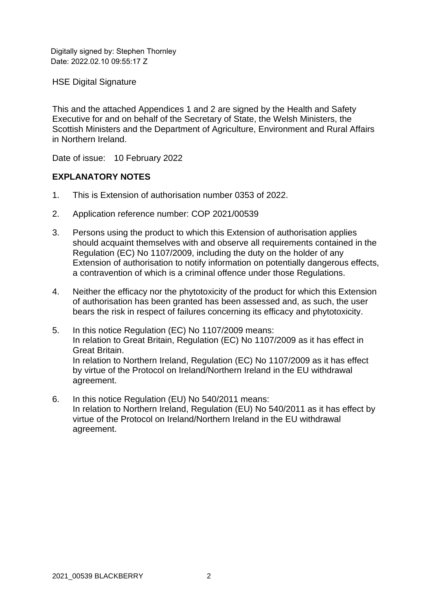Digitally signed by: Stephen Thornley Date: 2022.02.10.09:55:17.7

HSE Digital Signature

This and the attached Appendices 1 and 2 are signed by the Health and Safety Executive for and on behalf of the Secretary of State, the Welsh Ministers, the Scottish Ministers and the Department of Agriculture, Environment and Rural Affairs in Northern Ireland.

Date of issue: 10 February 2022

### **EXPLANATORY NOTES**

- 1. This is Extension of authorisation number 0353 of 2022.
- 2. Application reference number: COP 2021/00539
- 3. Persons using the product to which this Extension of authorisation applies should acquaint themselves with and observe all requirements contained in the Regulation (EC) No 1107/2009, including the duty on the holder of any Extension of authorisation to notify information on potentially dangerous effects, a contravention of which is a criminal offence under those Regulations.
- 4. Neither the efficacy nor the phytotoxicity of the product for which this Extension of authorisation has been granted has been assessed and, as such, the user bears the risk in respect of failures concerning its efficacy and phytotoxicity.
- 5. In this notice Regulation (EC) No 1107/2009 means: In relation to Great Britain, Regulation (EC) No 1107/2009 as it has effect in Great Britain. In relation to Northern Ireland, Regulation (EC) No 1107/2009 as it has effect by virtue of the Protocol on Ireland/Northern Ireland in the EU withdrawal agreement.
- 6. In this notice Regulation (EU) No 540/2011 means: In relation to Northern Ireland, Regulation (EU) No 540/2011 as it has effect by virtue of the Protocol on Ireland/Northern Ireland in the EU withdrawal agreement.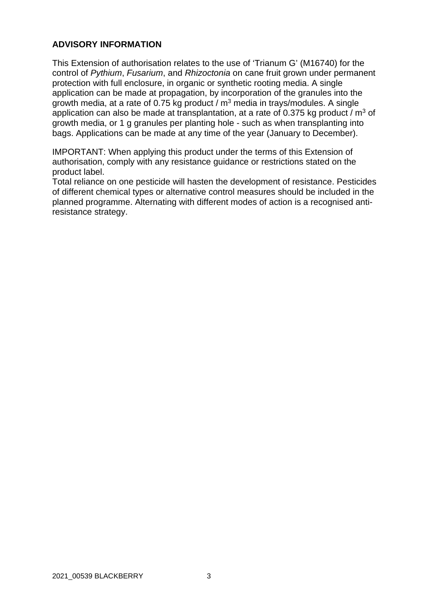## **ADVISORY INFORMATION**

This Extension of authorisation relates to the use of 'Trianum G' (M16740) for the control of *Pythium*, *Fusarium*, and *Rhizoctonia* on cane fruit grown under permanent protection with full enclosure, in organic or synthetic rooting media. A single application can be made at propagation, by incorporation of the granules into the growth media, at a rate of 0.75 kg product /  $m<sup>3</sup>$  media in trays/modules. A single application can also be made at transplantation, at a rate of 0.375 kg product /  $m^3$  of growth media, or 1 g granules per planting hole - such as when transplanting into bags. Applications can be made at any time of the year (January to December).

IMPORTANT: When applying this product under the terms of this Extension of authorisation, comply with any resistance guidance or restrictions stated on the product label.

Total reliance on one pesticide will hasten the development of resistance. Pesticides of different chemical types or alternative control measures should be included in the planned programme. Alternating with different modes of action is a recognised antiresistance strategy.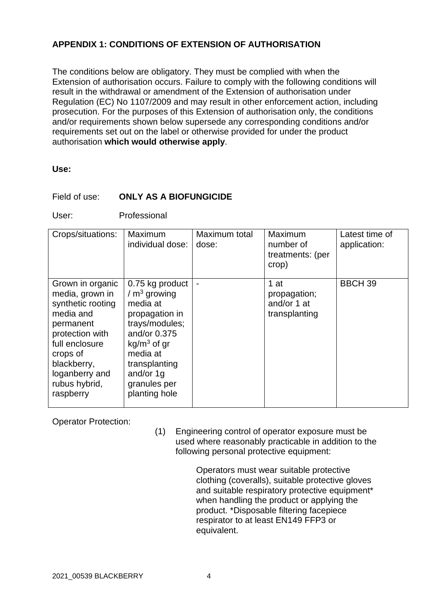## **APPENDIX 1: CONDITIONS OF EXTENSION OF AUTHORISATION**

The conditions below are obligatory. They must be complied with when the Extension of authorisation occurs. Failure to comply with the following conditions will result in the withdrawal or amendment of the Extension of authorisation under Regulation (EC) No 1107/2009 and may result in other enforcement action, including prosecution. For the purposes of this Extension of authorisation only, the conditions and/or requirements shown below supersede any corresponding conditions and/or requirements set out on the label or otherwise provided for under the product authorisation **which would otherwise apply**.

#### **Use:**

### Field of use: **ONLY AS A BIOFUNGICIDE**

User: Professional

| Crops/situations:                                                                                                                                                                                  | Maximum<br>individual dose:                                                                                                                                                                  | Maximum total<br>dose: | Maximum<br>number of<br>treatments: (per<br>crop)    | Latest time of<br>application: |
|----------------------------------------------------------------------------------------------------------------------------------------------------------------------------------------------------|----------------------------------------------------------------------------------------------------------------------------------------------------------------------------------------------|------------------------|------------------------------------------------------|--------------------------------|
| Grown in organic<br>media, grown in<br>synthetic rooting<br>media and<br>permanent<br>protection with<br>full enclosure<br>crops of<br>blackberry,<br>loganberry and<br>rubus hybrid,<br>raspberry | 0.75 kg product<br>$/m3$ growing<br>media at<br>propagation in<br>trays/modules;<br>and/or 0.375<br>$kg/m3$ of gr<br>media at<br>transplanting<br>and/or 1g<br>granules per<br>planting hole |                        | 1 at<br>propagation;<br>and/or 1 at<br>transplanting | <b>BBCH 39</b>                 |

Operator Protection:

(1) Engineering control of operator exposure must be used where reasonably practicable in addition to the following personal protective equipment:

> Operators must wear suitable protective clothing (coveralls), suitable protective gloves and suitable respiratory protective equipment\* when handling the product or applying the product. \*Disposable filtering facepiece respirator to at least EN149 FFP3 or equivalent.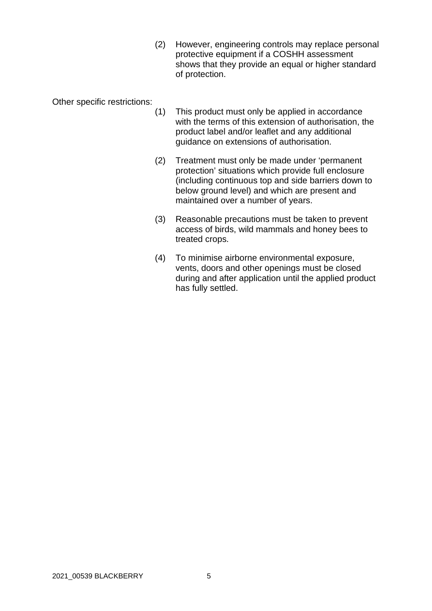(2) However, engineering controls may replace personal protective equipment if a COSHH assessment shows that they provide an equal or higher standard of protection.

Other specific restrictions:

- (1) This product must only be applied in accordance with the terms of this extension of authorisation, the product label and/or leaflet and any additional guidance on extensions of authorisation.
- (2) Treatment must only be made under 'permanent protection' situations which provide full enclosure (including continuous top and side barriers down to below ground level) and which are present and maintained over a number of years.
- (3) Reasonable precautions must be taken to prevent access of birds, wild mammals and honey bees to treated crops.
- (4) To minimise airborne environmental exposure, vents, doors and other openings must be closed during and after application until the applied product has fully settled.